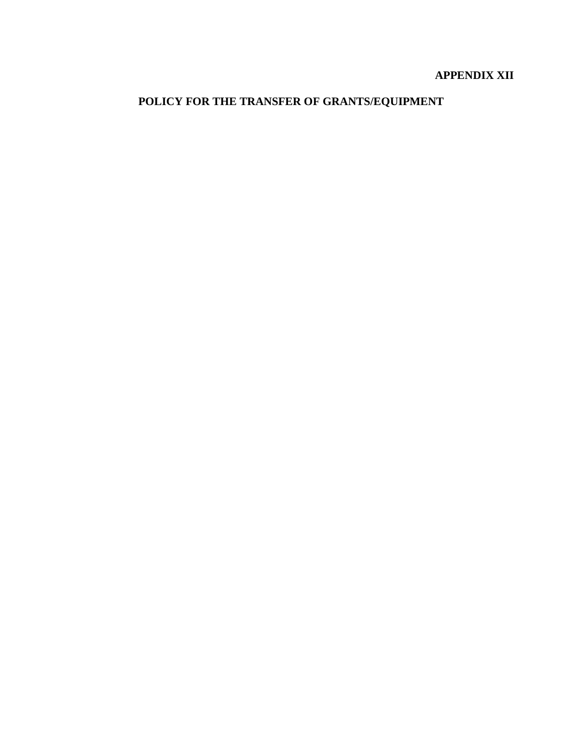# **APPENDIX XII**

# **POLICY FOR THE TRANSFER OF GRANTS/EQUIPMENT**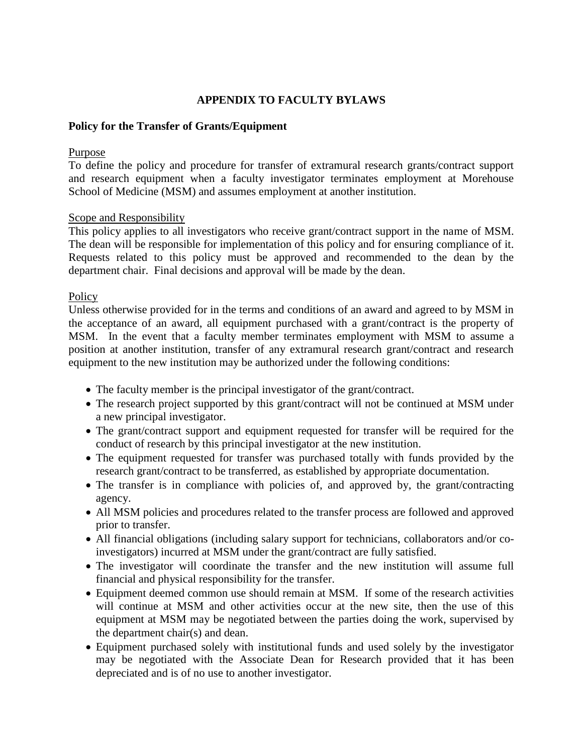# **APPENDIX TO FACULTY BYLAWS**

#### **Policy for the Transfer of Grants/Equipment**

#### Purpose

To define the policy and procedure for transfer of extramural research grants/contract support and research equipment when a faculty investigator terminates employment at Morehouse School of Medicine (MSM) and assumes employment at another institution.

#### Scope and Responsibility

This policy applies to all investigators who receive grant/contract support in the name of MSM. The dean will be responsible for implementation of this policy and for ensuring compliance of it. Requests related to this policy must be approved and recommended to the dean by the department chair. Final decisions and approval will be made by the dean.

#### Policy

Unless otherwise provided for in the terms and conditions of an award and agreed to by MSM in the acceptance of an award, all equipment purchased with a grant/contract is the property of MSM. In the event that a faculty member terminates employment with MSM to assume a position at another institution, transfer of any extramural research grant/contract and research equipment to the new institution may be authorized under the following conditions:

- The faculty member is the principal investigator of the grant/contract.
- The research project supported by this grant/contract will not be continued at MSM under a new principal investigator.
- The grant/contract support and equipment requested for transfer will be required for the conduct of research by this principal investigator at the new institution.
- The equipment requested for transfer was purchased totally with funds provided by the research grant/contract to be transferred, as established by appropriate documentation.
- The transfer is in compliance with policies of, and approved by, the grant/contracting agency.
- All MSM policies and procedures related to the transfer process are followed and approved prior to transfer.
- All financial obligations (including salary support for technicians, collaborators and/or coinvestigators) incurred at MSM under the grant/contract are fully satisfied.
- The investigator will coordinate the transfer and the new institution will assume full financial and physical responsibility for the transfer.
- Equipment deemed common use should remain at MSM. If some of the research activities will continue at MSM and other activities occur at the new site, then the use of this equipment at MSM may be negotiated between the parties doing the work, supervised by the department chair(s) and dean.
- Equipment purchased solely with institutional funds and used solely by the investigator may be negotiated with the Associate Dean for Research provided that it has been depreciated and is of no use to another investigator.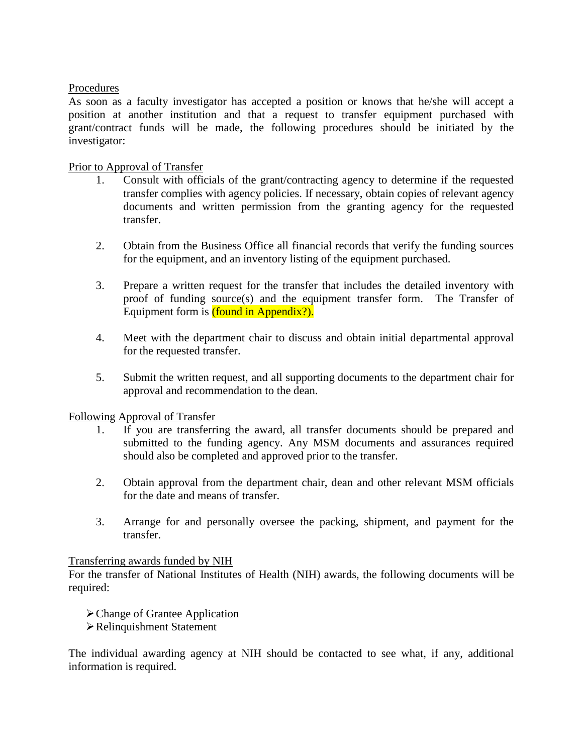## Procedures

As soon as a faculty investigator has accepted a position or knows that he/she will accept a position at another institution and that a request to transfer equipment purchased with grant/contract funds will be made, the following procedures should be initiated by the investigator:

## Prior to Approval of Transfer

- 1. Consult with officials of the grant/contracting agency to determine if the requested transfer complies with agency policies. If necessary, obtain copies of relevant agency documents and written permission from the granting agency for the requested transfer.
- 2. Obtain from the Business Office all financial records that verify the funding sources for the equipment, and an inventory listing of the equipment purchased.
- 3. Prepare a written request for the transfer that includes the detailed inventory with proof of funding source(s) and the equipment transfer form. The Transfer of Equipment form is *(found in Appendix?)*.
- 4. Meet with the department chair to discuss and obtain initial departmental approval for the requested transfer.
- 5. Submit the written request, and all supporting documents to the department chair for approval and recommendation to the dean.

#### Following Approval of Transfer

- 1. If you are transferring the award, all transfer documents should be prepared and submitted to the funding agency. Any MSM documents and assurances required should also be completed and approved prior to the transfer.
- 2. Obtain approval from the department chair, dean and other relevant MSM officials for the date and means of transfer.
- 3. Arrange for and personally oversee the packing, shipment, and payment for the transfer.

#### Transferring awards funded by NIH

For the transfer of National Institutes of Health (NIH) awards, the following documents will be required:

- Change of Grantee Application
- Relinquishment Statement

The individual awarding agency at NIH should be contacted to see what, if any, additional information is required.